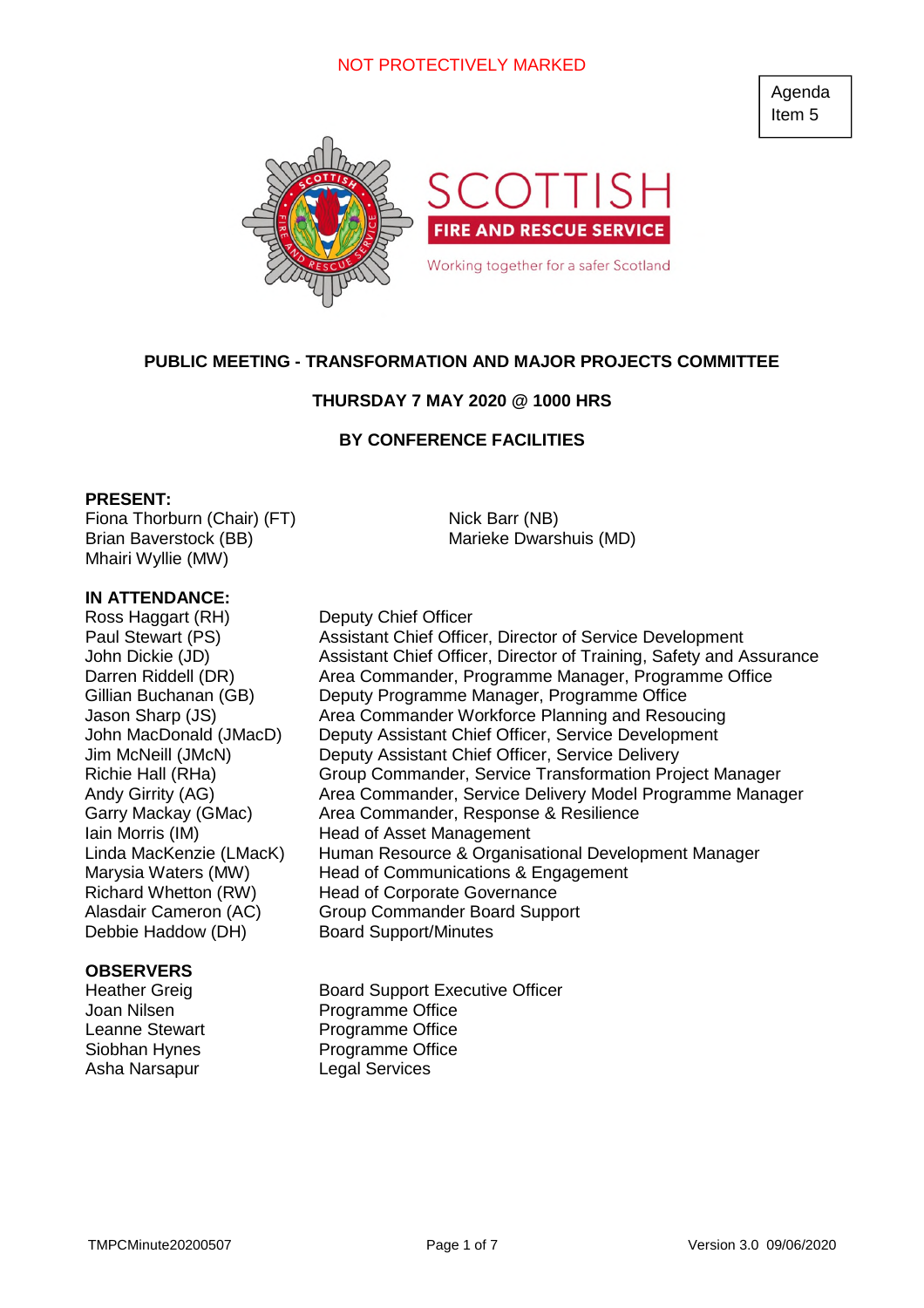# NOT PROTECTIVELY MARKED

Agenda Item 5



# **PUBLIC MEETING - TRANSFORMATION AND MAJOR PROJECTS COMMITTEE**

### **THURSDAY 7 MAY 2020 @ 1000 HRS**

# **BY CONFERENCE FACILITIES**

### **PRESENT:**

Fiona Thorburn (Chair) (FT) Brian Baverstock (BB) Mhairi Wyllie (MW)

### **IN ATTENDANCE:**

Ross Haggart (RH) Deputy Chief Officer Debbie Haddow (DH) Board Support/Minutes

### **OBSERVERS**

Asha Narsapur Legal Services

Nick Barr (NB) Marieke Dwarshuis (MD)

Paul Stewart (PS) Assistant Chief Officer, Director of Service Development John Dickie (JD) Assistant Chief Officer, Director of Training, Safety and Assurance Darren Riddell (DR) **Area Commander, Programme Manager, Programme Office** Gillian Buchanan (GB) Deputy Programme Manager, Programme Office Jason Sharp (JS) Area Commander Workforce Planning and Resoucing John MacDonald (JMacD) Deputy Assistant Chief Officer, Service Development Jim McNeill (JMcN) Deputy Assistant Chief Officer, Service Delivery Richie Hall (RHa) Group Commander, Service Transformation Project Manager Andy Girrity (AG) **Area Commander, Service Delivery Model Programme Manager** Garry Mackay (GMac) Area Commander, Response & Resilience Iain Morris (IM) Head of Asset Management Linda MacKenzie (LMacK) Human Resource & Organisational Development Manager Marysia Waters (MW) Head of Communications & Engagement Richard Whetton (RW) Head of Corporate Governance Alasdair Cameron (AC) Group Commander Board Support

Heather Greig Board Support Executive Officer Joan Nilsen **Programme** Office Leanne Stewart Programme Office Siobhan Hynes Programme Office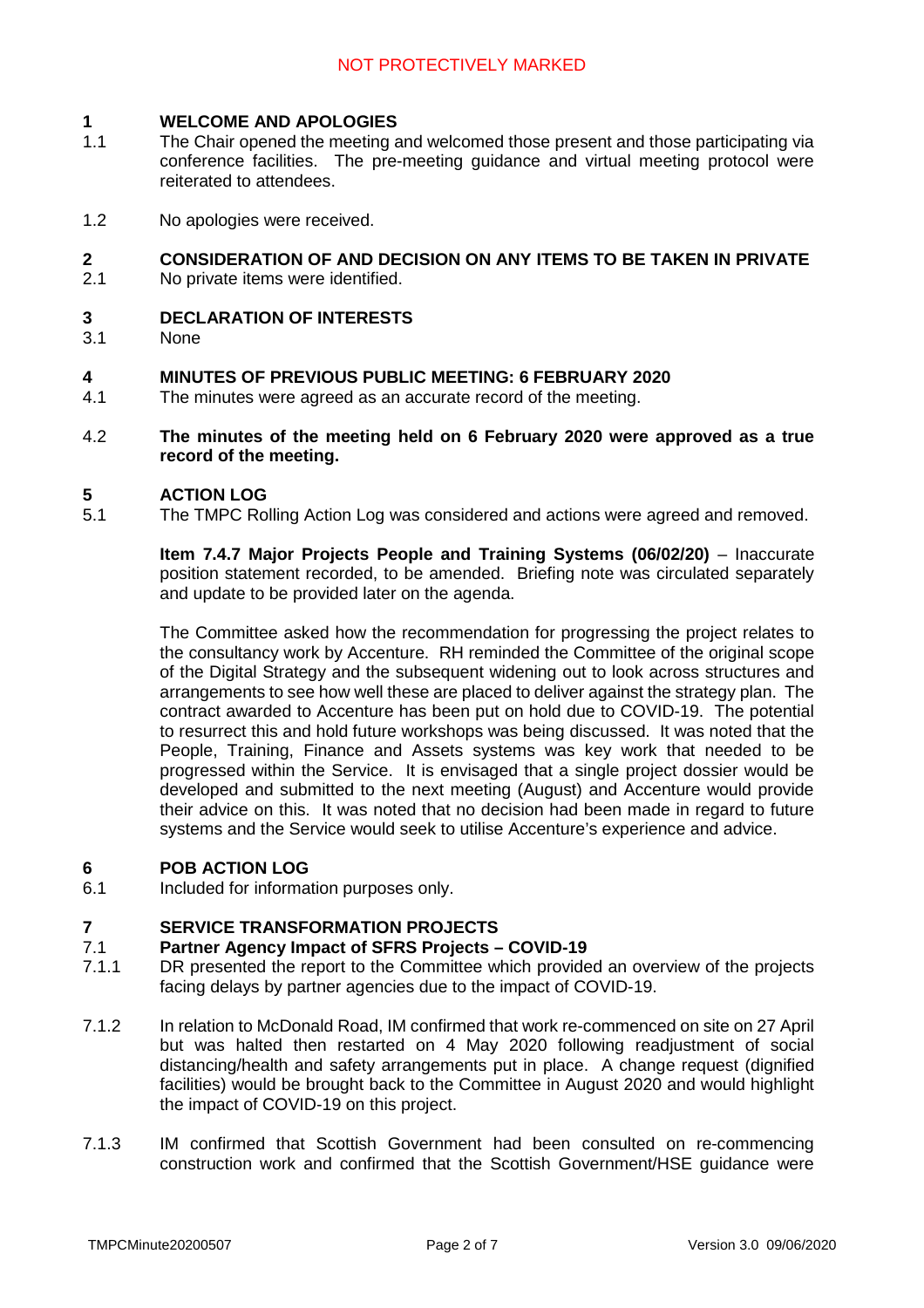#### **1 WELCOME AND APOLOGIES**

- 1.1 The Chair opened the meeting and welcomed those present and those participating via conference facilities. The pre-meeting guidance and virtual meeting protocol were reiterated to attendees.
- 1.2 No apologies were received.

### **2 CONSIDERATION OF AND DECISION ON ANY ITEMS TO BE TAKEN IN PRIVATE**

2.1 No private items were identified.

#### **3 DECLARATION OF INTERESTS**

3.1 None

#### **4 MINUTES OF PREVIOUS PUBLIC MEETING: 6 FEBRUARY 2020**

- 4.1 The minutes were agreed as an accurate record of the meeting.
- 4.2 **The minutes of the meeting held on 6 February 2020 were approved as a true record of the meeting.**

#### **5 ACTION LOG**

5.1 The TMPC Rolling Action Log was considered and actions were agreed and removed.

> **Item 7.4.7 Major Projects People and Training Systems (06/02/20)** – Inaccurate position statement recorded, to be amended. Briefing note was circulated separately and update to be provided later on the agenda.

> The Committee asked how the recommendation for progressing the project relates to the consultancy work by Accenture. RH reminded the Committee of the original scope of the Digital Strategy and the subsequent widening out to look across structures and arrangements to see how well these are placed to deliver against the strategy plan. The contract awarded to Accenture has been put on hold due to COVID-19. The potential to resurrect this and hold future workshops was being discussed. It was noted that the People, Training, Finance and Assets systems was key work that needed to be progressed within the Service. It is envisaged that a single project dossier would be developed and submitted to the next meeting (August) and Accenture would provide their advice on this. It was noted that no decision had been made in regard to future systems and the Service would seek to utilise Accenture's experience and advice.

# **6 POB ACTION LOG**

6.1 Included for information purposes only.

#### **7 SERVICE TRANSFORMATION PROJECTS**

#### 7.1 **Partner Agency Impact of SFRS Projects – COVID-19**

- 7.1.1 DR presented the report to the Committee which provided an overview of the projects facing delays by partner agencies due to the impact of COVID-19.
- 7.1.2 In relation to McDonald Road, IM confirmed that work re-commenced on site on 27 April but was halted then restarted on 4 May 2020 following readjustment of social distancing/health and safety arrangements put in place. A change request (dignified facilities) would be brought back to the Committee in August 2020 and would highlight the impact of COVID-19 on this project.
- 7.1.3 IM confirmed that Scottish Government had been consulted on re-commencing construction work and confirmed that the Scottish Government/HSE guidance were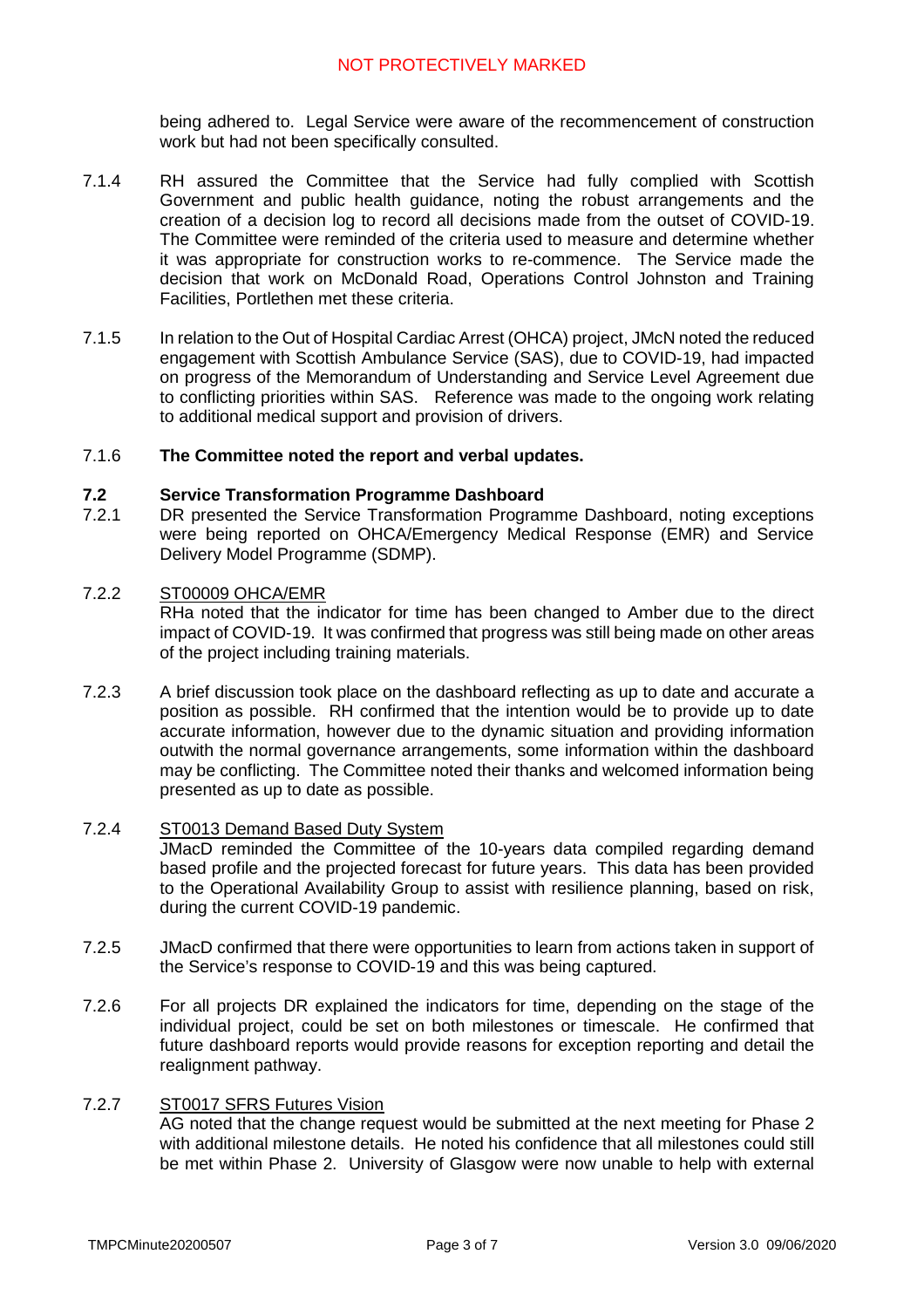# NOT PROTECTIVELY MARKED

being adhered to. Legal Service were aware of the recommencement of construction work but had not been specifically consulted.

- 7.1.4 RH assured the Committee that the Service had fully complied with Scottish Government and public health guidance, noting the robust arrangements and the creation of a decision log to record all decisions made from the outset of COVID-19. The Committee were reminded of the criteria used to measure and determine whether it was appropriate for construction works to re-commence. The Service made the decision that work on McDonald Road, Operations Control Johnston and Training Facilities, Portlethen met these criteria.
- 7.1.5 In relation to the Out of Hospital Cardiac Arrest (OHCA) project, JMcN noted the reduced engagement with Scottish Ambulance Service (SAS), due to COVID-19, had impacted on progress of the Memorandum of Understanding and Service Level Agreement due to conflicting priorities within SAS. Reference was made to the ongoing work relating to additional medical support and provision of drivers.

#### 7.1.6 **The Committee noted the report and verbal updates.**

#### **7.2 Service Transformation Programme Dashboard**

7.2.1 DR presented the Service Transformation Programme Dashboard, noting exceptions were being reported on OHCA/Emergency Medical Response (EMR) and Service Delivery Model Programme (SDMP).

#### 7.2.2 ST00009 OHCA/EMR

RHa noted that the indicator for time has been changed to Amber due to the direct impact of COVID-19. It was confirmed that progress was still being made on other areas of the project including training materials.

7.2.3 A brief discussion took place on the dashboard reflecting as up to date and accurate a position as possible. RH confirmed that the intention would be to provide up to date accurate information, however due to the dynamic situation and providing information outwith the normal governance arrangements, some information within the dashboard may be conflicting. The Committee noted their thanks and welcomed information being presented as up to date as possible.

#### 7.2.4 ST0013 Demand Based Duty System

JMacD reminded the Committee of the 10-years data compiled regarding demand based profile and the projected forecast for future years. This data has been provided to the Operational Availability Group to assist with resilience planning, based on risk, during the current COVID-19 pandemic.

- 7.2.5 JMacD confirmed that there were opportunities to learn from actions taken in support of the Service's response to COVID-19 and this was being captured.
- 7.2.6 For all projects DR explained the indicators for time, depending on the stage of the individual project, could be set on both milestones or timescale. He confirmed that future dashboard reports would provide reasons for exception reporting and detail the realignment pathway.

### 7.2.7 ST0017 SFRS Futures Vision

AG noted that the change request would be submitted at the next meeting for Phase 2 with additional milestone details. He noted his confidence that all milestones could still be met within Phase 2. University of Glasgow were now unable to help with external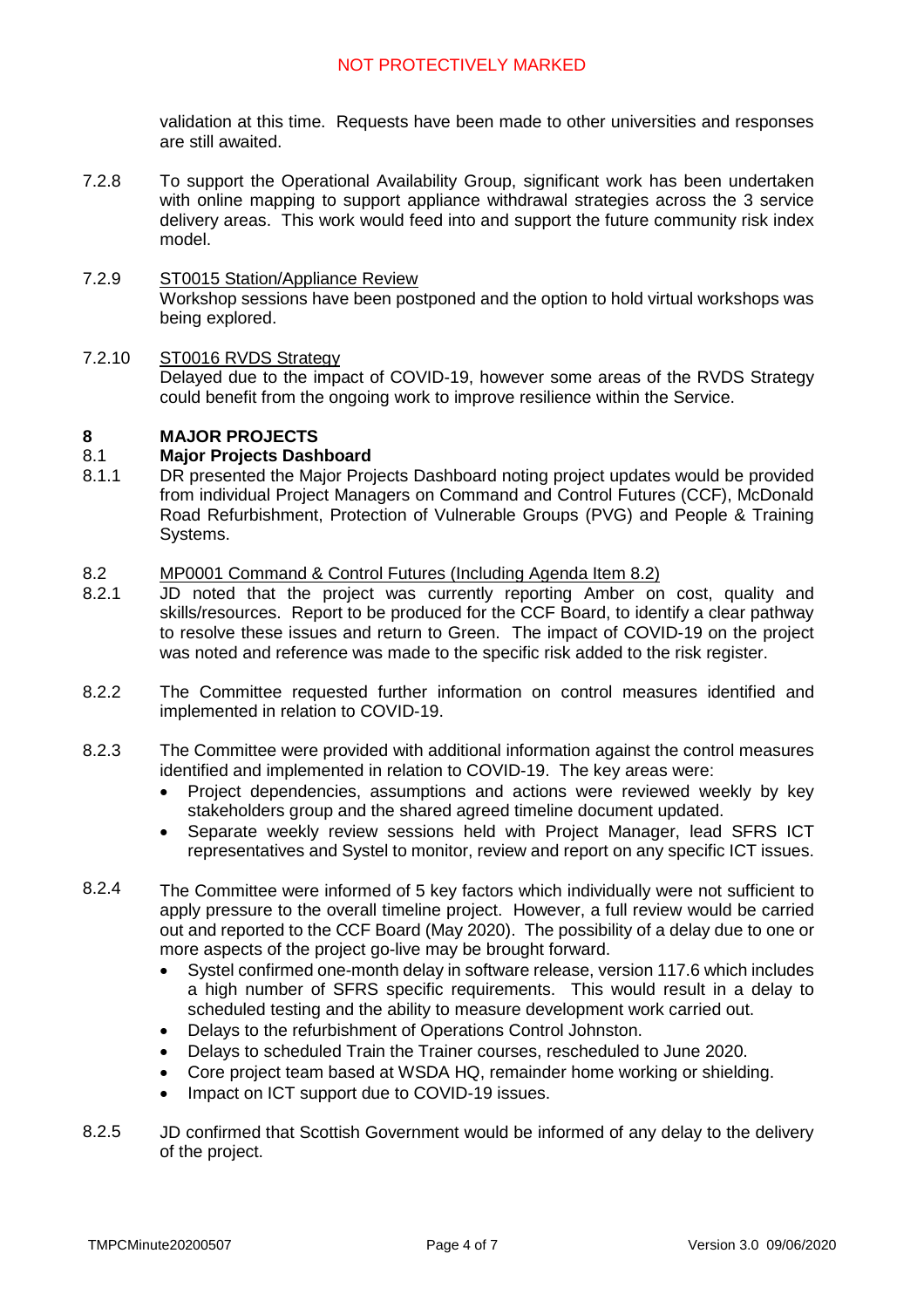validation at this time. Requests have been made to other universities and responses are still awaited.

7.2.8 To support the Operational Availability Group, significant work has been undertaken with online mapping to support appliance withdrawal strategies across the 3 service delivery areas. This work would feed into and support the future community risk index model.

#### 7.2.9 ST0015 Station/Appliance Review

Workshop sessions have been postponed and the option to hold virtual workshops was being explored.

#### 7.2.10 ST0016 RVDS Strategy

Delayed due to the impact of COVID-19, however some areas of the RVDS Strategy could benefit from the ongoing work to improve resilience within the Service.

#### **8 MAJOR PROJECTS**

#### 8.1 **Major Projects Dashboard**

8.1.1 DR presented the Major Projects Dashboard noting project updates would be provided from individual Project Managers on Command and Control Futures (CCF), McDonald Road Refurbishment, Protection of Vulnerable Groups (PVG) and People & Training Systems.

#### 8.2 MP0001 Command & Control Futures (Including Agenda Item 8.2)

- 8.2.1 JD noted that the project was currently reporting Amber on cost, quality and skills/resources. Report to be produced for the CCF Board, to identify a clear pathway to resolve these issues and return to Green. The impact of COVID-19 on the project was noted and reference was made to the specific risk added to the risk register.
- 8.2.2 The Committee requested further information on control measures identified and implemented in relation to COVID-19.
- 8.2.3 The Committee were provided with additional information against the control measures identified and implemented in relation to COVID-19. The key areas were:
	- Project dependencies, assumptions and actions were reviewed weekly by key stakeholders group and the shared agreed timeline document updated.
	- Separate weekly review sessions held with Project Manager, lead SFRS ICT representatives and Systel to monitor, review and report on any specific ICT issues.
- 8.2.4 The Committee were informed of 5 key factors which individually were not sufficient to apply pressure to the overall timeline project. However, a full review would be carried out and reported to the CCF Board (May 2020). The possibility of a delay due to one or more aspects of the project go-live may be brought forward.
	- Systel confirmed one-month delay in software release, version 117.6 which includes a high number of SFRS specific requirements. This would result in a delay to scheduled testing and the ability to measure development work carried out.
	- Delays to the refurbishment of Operations Control Johnston.
	- Delays to scheduled Train the Trainer courses, rescheduled to June 2020.
	- Core project team based at WSDA HQ, remainder home working or shielding.
	- Impact on ICT support due to COVID-19 issues.
- 8.2.5 JD confirmed that Scottish Government would be informed of any delay to the delivery of the project.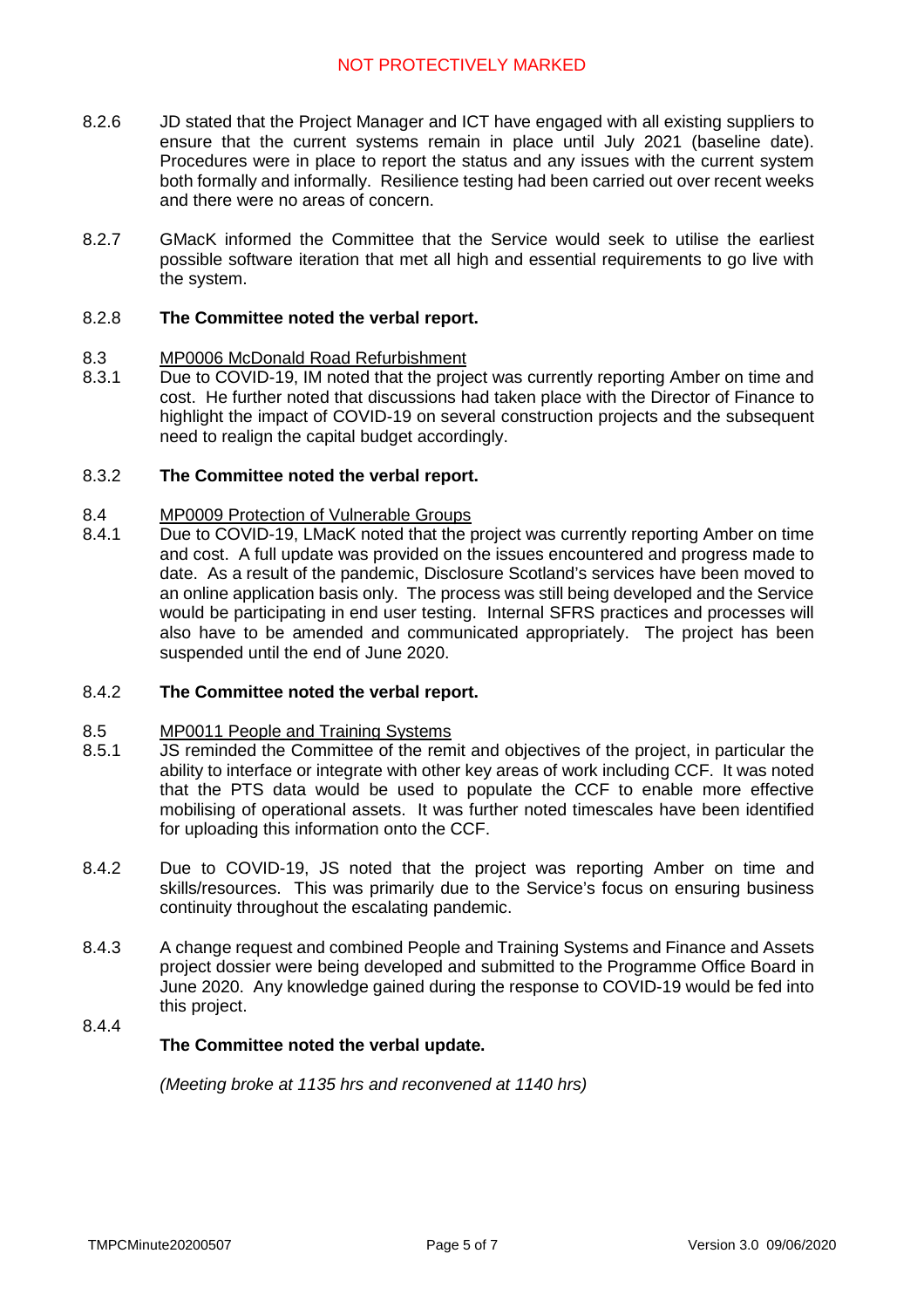- 8.2.6 JD stated that the Project Manager and ICT have engaged with all existing suppliers to ensure that the current systems remain in place until July 2021 (baseline date). Procedures were in place to report the status and any issues with the current system both formally and informally. Resilience testing had been carried out over recent weeks and there were no areas of concern.
- 8.2.7 GMacK informed the Committee that the Service would seek to utilise the earliest possible software iteration that met all high and essential requirements to go live with the system.

#### 8.2.8 **The Committee noted the verbal report.**

#### 8.3 MP0006 McDonald Road Refurbishment

8.3.1 Due to COVID-19, IM noted that the project was currently reporting Amber on time and cost. He further noted that discussions had taken place with the Director of Finance to highlight the impact of COVID-19 on several construction projects and the subsequent need to realign the capital budget accordingly.

#### 8.3.2 **The Committee noted the verbal report.**

#### 8.4 MP0009 Protection of Vulnerable Groups

8.4.1 Due to COVID-19, LMacK noted that the project was currently reporting Amber on time and cost. A full update was provided on the issues encountered and progress made to date. As a result of the pandemic, Disclosure Scotland's services have been moved to an online application basis only. The process was still being developed and the Service would be participating in end user testing. Internal SFRS practices and processes will also have to be amended and communicated appropriately. The project has been suspended until the end of June 2020.

#### 8.4.2 **The Committee noted the verbal report.**

#### 8.5 MP0011 People and Training Systems

- 8.5.1 JS reminded the Committee of the remit and objectives of the project, in particular the ability to interface or integrate with other key areas of work including CCF. It was noted that the PTS data would be used to populate the CCF to enable more effective mobilising of operational assets. It was further noted timescales have been identified for uploading this information onto the CCF.
- 8.4.2 Due to COVID-19, JS noted that the project was reporting Amber on time and skills/resources. This was primarily due to the Service's focus on ensuring business continuity throughout the escalating pandemic.
- 8.4.3 A change request and combined People and Training Systems and Finance and Assets project dossier were being developed and submitted to the Programme Office Board in June 2020. Any knowledge gained during the response to COVID-19 would be fed into this project.

### 8.4.4

# **The Committee noted the verbal update.**

*(Meeting broke at 1135 hrs and reconvened at 1140 hrs)*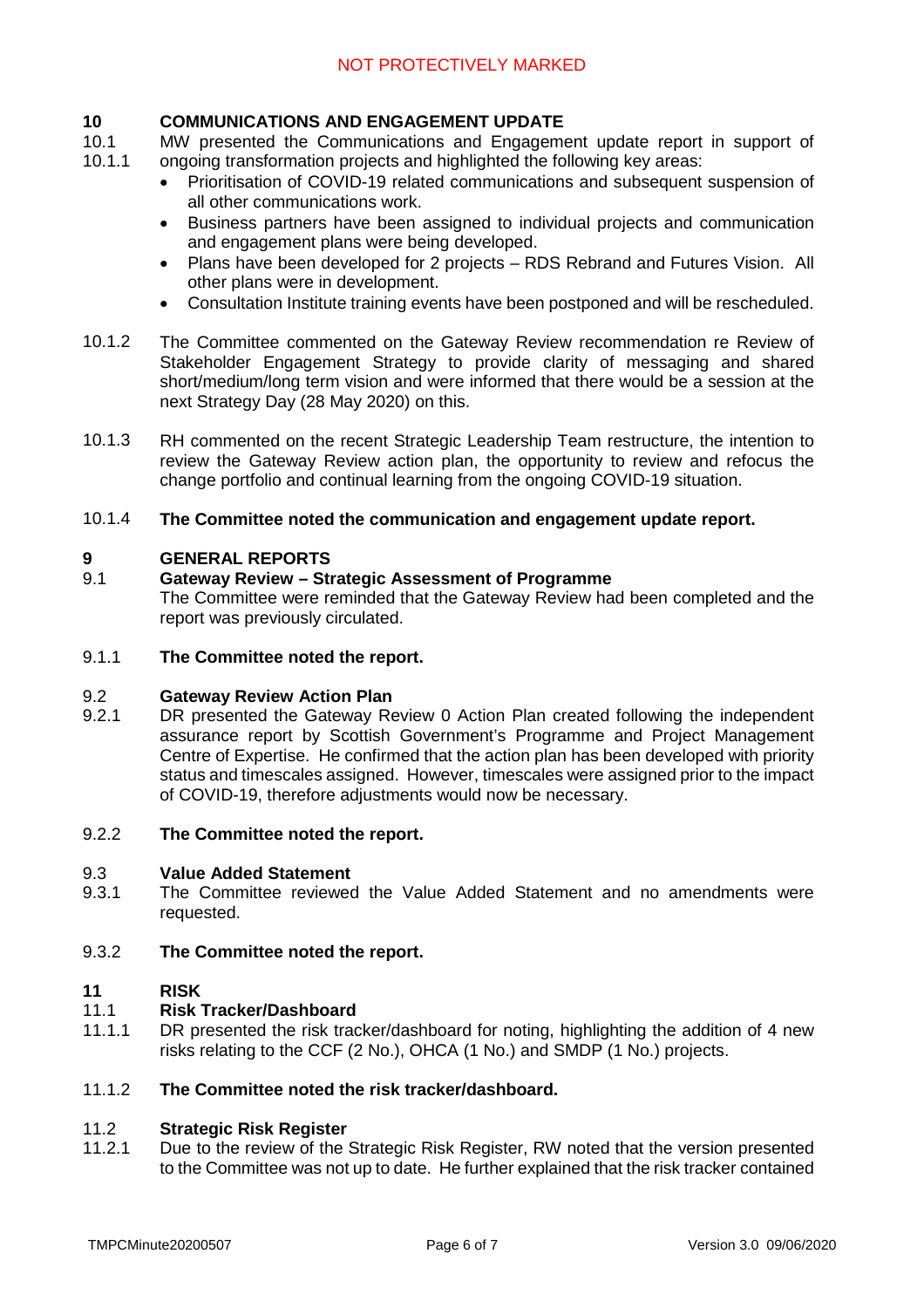#### **10 COMMUNICATIONS AND ENGAGEMENT UPDATE**

10.1 10.1.1 MW presented the Communications and Engagement update report in support of ongoing transformation projects and highlighted the following key areas:

- Prioritisation of COVID-19 related communications and subsequent suspension of all other communications work.
- Business partners have been assigned to individual projects and communication and engagement plans were being developed.
- Plans have been developed for 2 projects RDS Rebrand and Futures Vision. All other plans were in development.
- Consultation Institute training events have been postponed and will be rescheduled.
- 10.1.2 The Committee commented on the Gateway Review recommendation re Review of Stakeholder Engagement Strategy to provide clarity of messaging and shared short/medium/long term vision and were informed that there would be a session at the next Strategy Day (28 May 2020) on this.
- 10.1.3 RH commented on the recent Strategic Leadership Team restructure, the intention to review the Gateway Review action plan, the opportunity to review and refocus the change portfolio and continual learning from the ongoing COVID-19 situation.

#### 10.1.4 **The Committee noted the communication and engagement update report.**

#### **9 GENERAL REPORTS**

#### 9.1 **Gateway Review – Strategic Assessment of Programme**

The Committee were reminded that the Gateway Review had been completed and the report was previously circulated.

#### 9.1.1 **The Committee noted the report.**

#### 9.2 **Gateway Review Action Plan**

9.2.1 DR presented the Gateway Review 0 Action Plan created following the independent assurance report by Scottish Government's Programme and Project Management Centre of Expertise. He confirmed that the action plan has been developed with priority status and timescales assigned. However, timescales were assigned prior to the impact of COVID-19, therefore adjustments would now be necessary.

#### 9.2.2 **The Committee noted the report.**

#### 9.3 **Value Added Statement**

9.3.1 The Committee reviewed the Value Added Statement and no amendments were requested.

#### 9.3.2 **The Committee noted the report.**

#### **11 RISK**

#### 11.1 **Risk Tracker/Dashboard**

11.1.1 DR presented the risk tracker/dashboard for noting, highlighting the addition of 4 new risks relating to the CCF (2 No.), OHCA (1 No.) and SMDP (1 No.) projects.

#### 11.1.2 **The Committee noted the risk tracker/dashboard.**

#### 11.2 **Strategic Risk Register**

11.2.1 Due to the review of the Strategic Risk Register, RW noted that the version presented to the Committee was not up to date. He further explained that the risk tracker contained